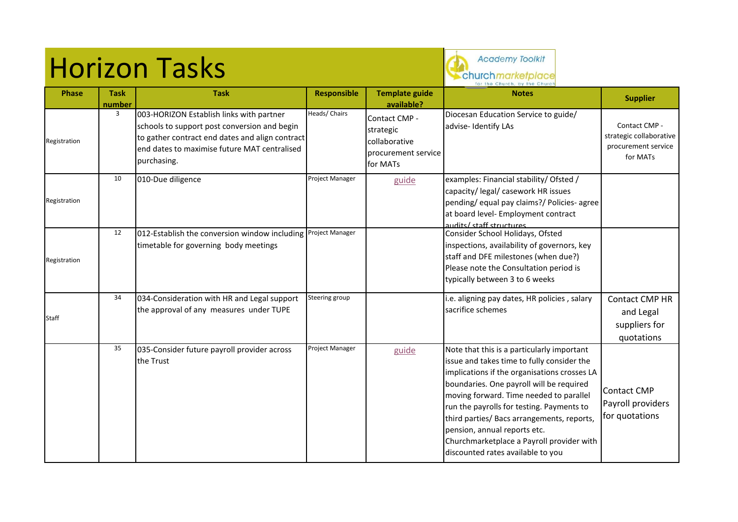## Horizon Tasks



**Phase Task number Task Responsible Responsible Responsible Responsible Responsible Responsible Responsible Responsible Responsible Responsible Responsible Responsible Responsible Responsible Responsible Resp available? Notes Supplier** Registration 3 003-HORIZON Establish links with partner schools to support post conversion and begin to gather contract end dates and align contract end dates to maximise future MAT centralised purchasing. Heads/ Chairs **Contact CMP** strategic collaborative procurement service for MATs Diocesan Education Service to guide/ advise- Identify LAs and Contact CMP strategic collaborative procurement service for MATs Registration 10 010-Due diligence **Project Manager** examples: Financial stability/ Ofsted / capacity/ legal/ casework HR issues pending/ equal pay claims?/ Policies- agree at board level- Employment contract audits/ staff structures Registration 12 012-Establish the conversion window including timetable for governing body meetings Project Manager Consider School Holidays, Ofsted inspections, availability of governors, key staff and DFE milestones (when due?) Please note the Consultation period is typically between 3 to 6 weeks Staff 34 034-Consideration with HR and Legal support the approval of any measures under TUPE Steering group **i.e. aligning pay dates, HR policies**, salary sacrifice schemes Contact CMP HR and Legal suppliers for quotations 35 035-Consider future payroll provider across the Trust Project Manager  $\parallel$  [guide](http://www.churchmarketplace.org.uk/members/shared/uploads/files/other/1455029852_035_Payroll_specification.xls)  $\parallel$  Note that this is a particularly important issue and takes time to fully consider the implications if the organisations crosses LA boundaries. One payroll will be required moving forward. Time needed to parallel run the payrolls for testing. Payments to third parties/ Bacs arrangements, reports, pension, annual reports etc. Churchmarketplace a Payroll provider with discounted rates available to you Contact CMP Payroll providers for quotations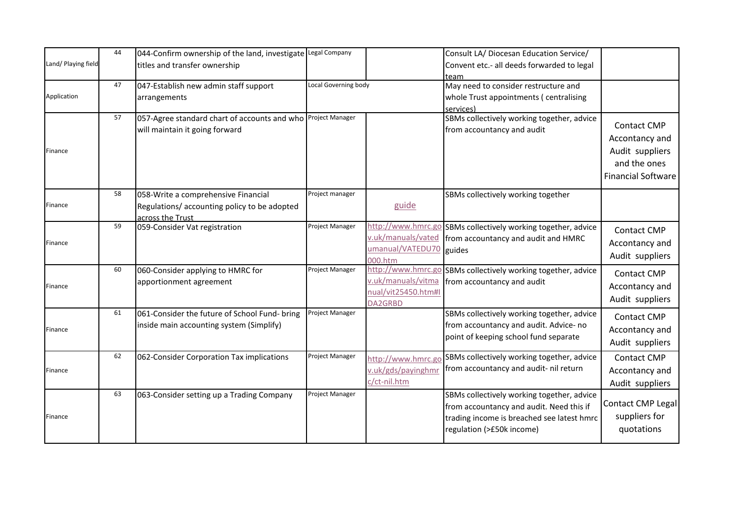| Land/ Playing field | 44 | 044-Confirm ownership of the land, investigate Legal Company<br>titles and transfer ownership          |                        |                                                                            | Consult LA/ Diocesan Education Service/<br>Convent etc.- all deeds forwarded to legal<br>team                                                                     |                                                                                                      |
|---------------------|----|--------------------------------------------------------------------------------------------------------|------------------------|----------------------------------------------------------------------------|-------------------------------------------------------------------------------------------------------------------------------------------------------------------|------------------------------------------------------------------------------------------------------|
| Application         | 47 | 047-Establish new admin staff support<br>arrangements                                                  | Local Governing body   |                                                                            | May need to consider restructure and<br>whole Trust appointments (centralising<br>services)                                                                       |                                                                                                      |
| Finance             | 57 | 057-Agree standard chart of accounts and who<br>will maintain it going forward                         | Project Manager        |                                                                            | SBMs collectively working together, advice<br>from accountancy and audit                                                                                          | <b>Contact CMP</b><br>Accontancy and<br>Audit suppliers<br>and the ones<br><b>Financial Software</b> |
| Finance             | 58 | 058-Write a comprehensive Financial<br>Regulations/accounting policy to be adopted<br>across the Trust | Project manager        | guide                                                                      | SBMs collectively working together                                                                                                                                |                                                                                                      |
| Finance             | 59 | 059-Consider Vat registration                                                                          | Project Manager        | http://www.hmrc.go<br>v.uk/manuals/vated<br>umanual/VATEDU70<br>000.htm    | SBMs collectively working together, advice<br>from accountancy and audit and HMRC<br>guides                                                                       | <b>Contact CMP</b><br>Accontancy and<br>Audit suppliers                                              |
| Finance             | 60 | 060-Consider applying to HMRC for<br>apportionment agreement                                           | Project Manager        | http://www.hmrc.go<br>v.uk/manuals/vitma<br>nual/vit25450.htm#l<br>DA2GRBD | SBMs collectively working together, advice<br>from accountancy and audit                                                                                          | <b>Contact CMP</b><br>Accontancy and<br>Audit suppliers                                              |
| Finance             | 61 | 061-Consider the future of School Fund- bring<br>inside main accounting system (Simplify)              | Project Manager        |                                                                            | SBMs collectively working together, advice<br>from accountancy and audit. Advice- no<br>point of keeping school fund separate                                     | <b>Contact CMP</b><br>Accontancy and<br>Audit suppliers                                              |
| Finance             | 62 | 062-Consider Corporation Tax implications                                                              | Project Manager        | http://www.hmrc.go<br>v.uk/gds/payinghmr<br>c/ct-nil.htm                   | SBMs collectively working together, advice<br>from accountancy and audit- nil return                                                                              | <b>Contact CMP</b><br>Accontancy and<br>Audit suppliers                                              |
| Finance             | 63 | 063-Consider setting up a Trading Company                                                              | <b>Project Manager</b> |                                                                            | SBMs collectively working together, advice<br>from accountancy and audit. Need this if<br>trading income is breached see latest hmrc<br>regulation (>£50k income) | Contact CMP Legal<br>suppliers for<br>quotations                                                     |